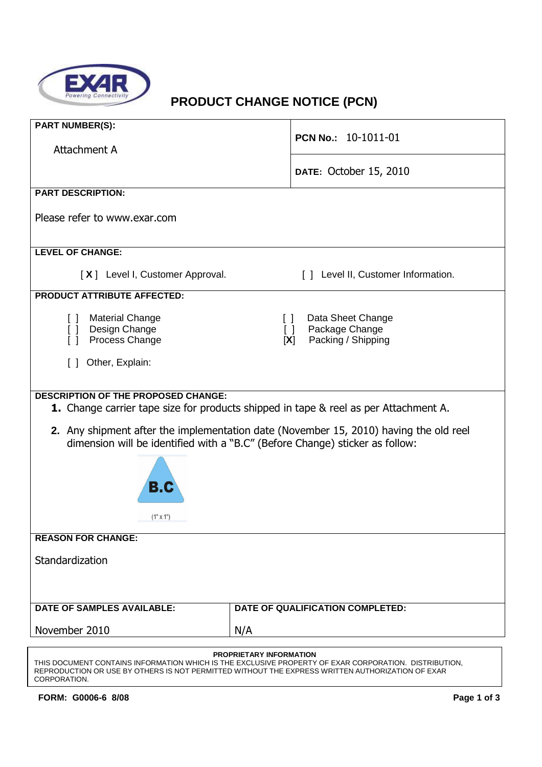

# **PRODUCT CHANGE NOTICE (PCN)**

| <b>PART NUMBER(S):</b>                                                                                                                                                |                                                                                                                      |  |  |  |  |  |
|-----------------------------------------------------------------------------------------------------------------------------------------------------------------------|----------------------------------------------------------------------------------------------------------------------|--|--|--|--|--|
| Attachment A                                                                                                                                                          | PCN No.: 10-1011-01                                                                                                  |  |  |  |  |  |
|                                                                                                                                                                       | DATE: October 15, 2010                                                                                               |  |  |  |  |  |
| <b>PART DESCRIPTION:</b>                                                                                                                                              |                                                                                                                      |  |  |  |  |  |
| Please refer to www.exar.com                                                                                                                                          |                                                                                                                      |  |  |  |  |  |
| <b>LEVEL OF CHANGE:</b>                                                                                                                                               |                                                                                                                      |  |  |  |  |  |
| [X] Level I, Customer Approval.                                                                                                                                       | [ ] Level II, Customer Information.                                                                                  |  |  |  |  |  |
| <b>PRODUCT ATTRIBUTE AFFECTED:</b>                                                                                                                                    |                                                                                                                      |  |  |  |  |  |
| <b>Material Change</b><br>$\Box$<br>Design Change<br>$\Box$<br>Process Change<br>ſΙ                                                                                   | Data Sheet Change<br>$\begin{array}{c} \square \end{array}$<br>Package Change<br>$\Box$<br>Packing / Shipping<br>[X] |  |  |  |  |  |
| Other, Explain:<br>$\Box$                                                                                                                                             |                                                                                                                      |  |  |  |  |  |
|                                                                                                                                                                       |                                                                                                                      |  |  |  |  |  |
| <b>DESCRIPTION OF THE PROPOSED CHANGE:</b>                                                                                                                            |                                                                                                                      |  |  |  |  |  |
|                                                                                                                                                                       | <b>1.</b> Change carrier tape size for products shipped in tape & reel as per Attachment A.                          |  |  |  |  |  |
| 2. Any shipment after the implementation date (November 15, 2010) having the old reel<br>dimension will be identified with a "B.C" (Before Change) sticker as follow: |                                                                                                                      |  |  |  |  |  |
| B.C                                                                                                                                                                   |                                                                                                                      |  |  |  |  |  |
| $(1" \times 1")$                                                                                                                                                      |                                                                                                                      |  |  |  |  |  |
| <b>REASON FOR CHANGE:</b>                                                                                                                                             |                                                                                                                      |  |  |  |  |  |
| Standardization                                                                                                                                                       |                                                                                                                      |  |  |  |  |  |
|                                                                                                                                                                       |                                                                                                                      |  |  |  |  |  |
| <b>DATE OF SAMPLES AVAILABLE:</b>                                                                                                                                     | DATE OF QUALIFICATION COMPLETED:                                                                                     |  |  |  |  |  |
| November 2010                                                                                                                                                         | N/A                                                                                                                  |  |  |  |  |  |
|                                                                                                                                                                       |                                                                                                                      |  |  |  |  |  |

**PROPRIETARY INFORMATION** THIS DOCUMENT CONTAINS INFORMATION WHICH IS THE EXCLUSIVE PROPERTY OF EXAR CORPORATION. DISTRIBUTION, REPRODUCTION OR USE BY OTHERS IS NOT PERMITTED WITHOUT THE EXPRESS WRITTEN AUTHORIZATION OF EXAR CORPORATION.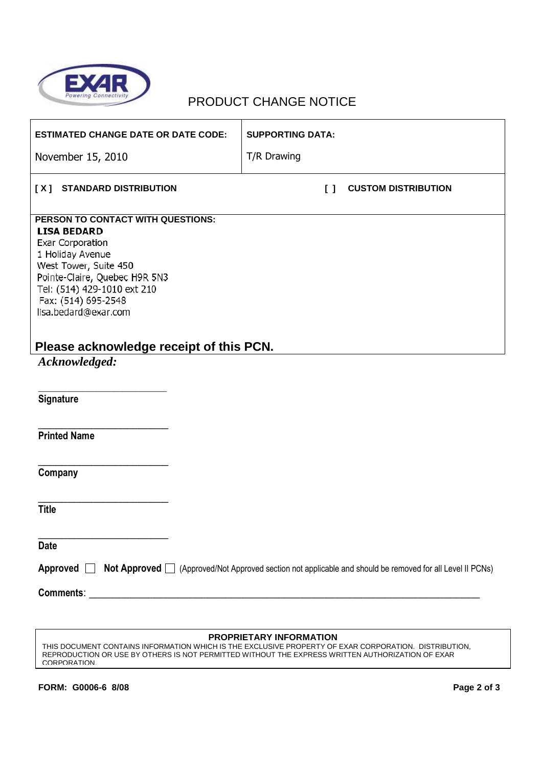

### PRODUCT CHANGE NOTICE

| <b>ESTIMATED CHANGE DATE OR DATE CODE:</b>                                                                                                                                                                                                                                         | <b>SUPPORTING DATA:</b>                                                                                   |
|------------------------------------------------------------------------------------------------------------------------------------------------------------------------------------------------------------------------------------------------------------------------------------|-----------------------------------------------------------------------------------------------------------|
| November 15, 2010                                                                                                                                                                                                                                                                  | T/R Drawing                                                                                               |
| [X]<br><b>STANDARD DISTRIBUTION</b>                                                                                                                                                                                                                                                | <b>CUSTOM DISTRIBUTION</b><br>$\mathsf{L}$                                                                |
| PERSON TO CONTACT WITH QUESTIONS:<br><b>LISA BEDARD</b><br>Exar Corporation<br>1 Holiday Avenue<br>West Tower, Suite 450<br>Pointe-Claire, Quebec H9R 5N3<br>Tel: (514) 429-1010 ext 210<br>Fax: (514) 695-2548<br>lisa.bedard@exar.com<br>Please acknowledge receipt of this PCN. |                                                                                                           |
| Acknowledged:                                                                                                                                                                                                                                                                      |                                                                                                           |
| Signature                                                                                                                                                                                                                                                                          |                                                                                                           |
| <b>Printed Name</b>                                                                                                                                                                                                                                                                |                                                                                                           |
| Company                                                                                                                                                                                                                                                                            |                                                                                                           |
| <b>Title</b>                                                                                                                                                                                                                                                                       |                                                                                                           |
| <b>Date</b>                                                                                                                                                                                                                                                                        |                                                                                                           |
| Approved<br>$\mathbf{I}$                                                                                                                                                                                                                                                           | Not Approved   (Approved/Not Approved section not applicable and should be removed for all Level II PCNs) |
| Comments:                                                                                                                                                                                                                                                                          |                                                                                                           |

#### **PROPRIETARY INFORMATION**

THIS DOCUMENT CONTAINS INFORMATION WHICH IS THE EXCLUSIVE PROPERTY OF EXAR CORPORATION. DISTRIBUTION, REPRODUCTION OR USE BY OTHERS IS NOT PERMITTED WITHOUT THE EXPRESS WRITTEN AUTHORIZATION OF EXAR CORPORATION.